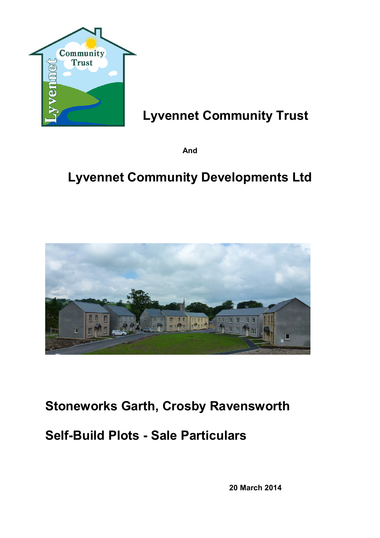

# **Lyvennet Community Trust**

**And**

# **Lyvennet Community Developments Ltd**



# **Stoneworks Garth, Crosby Ravensworth**

# **Self-Build Plots - Sale Particulars**

**20 March 2014**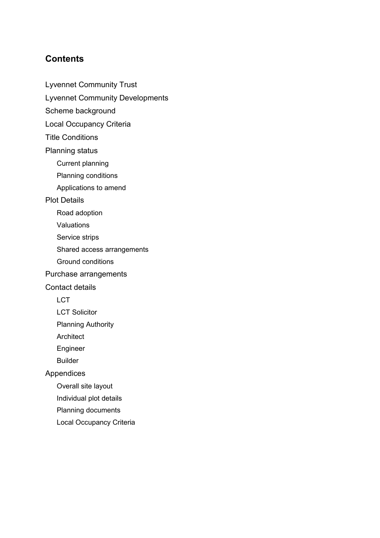# **Contents**

Lyvennet Community Trust

Lyvennet Community Developments

Scheme background

Local Occupancy Criteria

Title Conditions

Planning status

Current planning

Planning conditions

Applications to amend

Plot Details

Road adoption

Valuations

Service strips

Shared access arrangements

Ground conditions

Purchase arrangements

Contact details

**LCT** 

LCT Solicitor

Planning Authority

Architect

Engineer

Builder

Appendices

Overall site layout

Individual plot details

Planning documents

Local Occupancy Criteria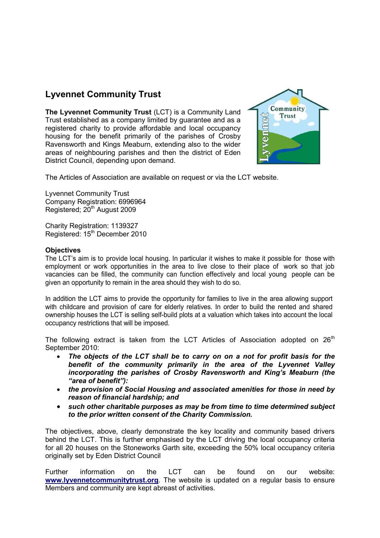# **Lyvennet Community Trust**

**The Lyvennet Community Trust** (LCT) is a Community Land Trust established as a company limited by guarantee and as a registered charity to provide affordable and local occupancy housing for the benefit primarily of the parishes of Crosby Ravensworth and Kings Meaburn, extending also to the wider areas of neighbouring parishes and then the district of Eden District Council, depending upon demand.



The Articles of Association are available on request or via the LCT website.

Lyvennet Community Trust Company Registration: 6996964 Registered; 20<sup>th</sup> August 2009

Charity Registration: 1139327 Registered: 15<sup>th</sup> December 2010

#### **Objectives**

The LCT's aim is to provide local housing. In particular it wishes to make it possible for those with employment or work opportunities in the area to live close to their place of work so that job vacancies can be filled, the community can function effectively and local young people can be given an opportunity to remain in the area should they wish to do so.

In addition the LCT aims to provide the opportunity for families to live in the area allowing support with childcare and provision of care for elderly relatives. In order to build the rented and shared ownership houses the LCT is selling self-build plots at a valuation which takes into account the local occupancy restrictions that will be imposed.

The following extract is taken from the LCT Articles of Association adopted on  $26<sup>th</sup>$ September 2010:

- *The objects of the LCT shall be to carry on on a not for profit basis for the benefit of the community primarily in the area of the Lyvennet Valley incorporating the parishes of Crosby Ravensworth and King's Meaburn (the "area of benefit"):*
- *the provision of Social Housing and associated amenities for those in need by reason of financial hardship; and*
- *such other charitable purposes as may be from time to time determined subject to the prior written consent of the Charity Commission.*

The objectives, above, clearly demonstrate the key locality and community based drivers behind the LCT. This is further emphasised by the LCT driving the local occupancy criteria for all 20 houses on the Stoneworks Garth site, exceeding the 50% local occupancy criteria originally set by Eden District Council

Further information on the LCT can be found on our website: **www.lyvennetcommunitytrust.org***.* The website is updated on a regular basis to ensure Members and community are kept abreast of activities.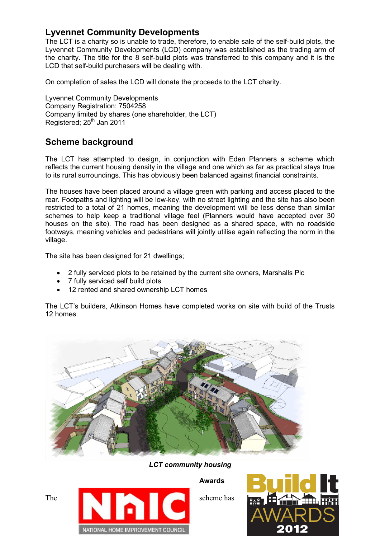# **Lyvennet Community Developments**

The LCT is a charity so is unable to trade, therefore, to enable sale of the self-build plots, the Lyvennet Community Developments (LCD) company was established as the trading arm of the charity. The title for the 8 self-build plots was transferred to this company and it is the LCD that self-build purchasers will be dealing with.

On completion of sales the LCD will donate the proceeds to the LCT charity.

Lyvennet Community Developments Company Registration: 7504258 Company limited by shares (one shareholder, the LCT) Registered; 25<sup>th</sup> Jan 2011

# **Scheme background**

The LCT has attempted to design, in conjunction with Eden Planners a scheme which reflects the current housing density in the village and one which as far as practical stays true to its rural surroundings. This has obviously been balanced against financial constraints.

The houses have been placed around a village green with parking and access placed to the rear. Footpaths and lighting will be low-key, with no street lighting and the site has also been restricted to a total of 21 homes, meaning the development will be less dense than similar schemes to help keep a traditional village feel (Planners would have accepted over 30 houses on the site). The road has been designed as a shared space, with no roadside footways, meaning vehicles and pedestrians will jointly utilise again reflecting the norm in the village.

The site has been designed for 21 dwellings;

- 2 fully serviced plots to be retained by the current site owners, Marshalls Plc
- 7 fully serviced self build plots
- 12 rented and shared ownership LCT homes

The LCT's builders, Atkinson Homes have completed works on site with build of the Trusts 12 homes.



*LCT community housing*

**Awards** The scheme has scheme has NATIONAL HOME IMPROVEMENT COUNCIL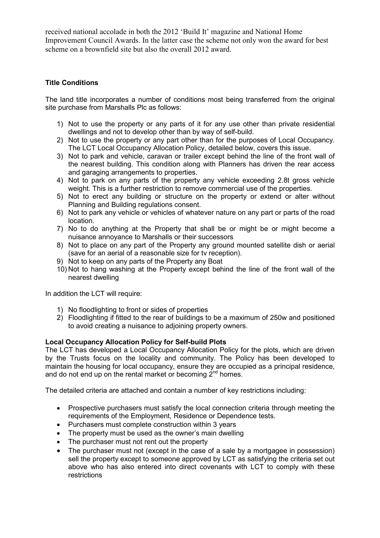received national accolade in both the 2012 'Build It' magazine and National Home Improvement Council Awards. In the latter case the scheme not only won the award for best scheme on a brownfield site but also the overall 2012 award.

## **Title Conditions**

The land title incorporates a number of conditions most being transferred from the original site purchase from Marshalls Plc as follows:

- 1) Not to use the property or any parts of it for any use other than private residential dwellings and not to develop other than by way of self-build.
- 2) Not to use the property or any part other than for the purposes of Local Occupancy. The LCT Local Occupancy Allocation Policy, detailed below, covers this issue.
- 3) Not to park and vehicle, caravan or trailer except behind the line of the front wall of the nearest building. This condition along with Planners has driven the rear access and garaging arrangements to properties.
- 4) Not to park on any parts of the property any vehicle exceeding 2.8t gross vehicle weight. This is a further restriction to remove commercial use of the properties.
- 5) Not to erect any building or structure on the property or extend or alter without Planning and Building regulations consent.
- 6) Not to park any vehicle or vehicles of whatever nature on any part or parts of the road location.
- 7) No to do anything at the Property that shall be or might be or might become a nuisance annoyance to Marshalls or their successors
- 8) Not to place on any part of the Property any ground mounted satellite dish or aerial (save for an aerial of a reasonable size for tv reception).
- 9) Not to keep on any parts of the Property any Boat
- 10) Not to hang washing at the Property except behind the line of the front wall of the nearest dwelling

In addition the LCT will require:

- 1) No floodlighting to front or sides of properties
- 2) Floodlighting if fitted to the rear of buildings to be a maximum of 250w and positioned to avoid creating a nuisance to adjoining property owners.

### **Local Occupancy Allocation Policy for Self-build Plots**

The LCT has developed a Local Occupancy Allocation Policy for the plots, which are driven by the Trusts focus on the locality and community. The Policy has been developed to maintain the housing for local occupancy, ensure they are occupied as a principal residence, and do not end up on the rental market or becoming  $2<sup>nd</sup>$  homes.

The detailed criteria are attached and contain a number of key restrictions including:

- Prospective purchasers must satisfy the local connection criteria through meeting the requirements of the Employment, Residence or Dependence tests.
- Purchasers must complete construction within 3 years
- The property must be used as the owner's main dwelling
- The purchaser must not rent out the property
- The purchaser must not (except in the case of a sale by a mortgagee in possession) sell the property except to someone approved by LCT as satisfying the criteria set out above who has also entered into direct covenants with LCT to comply with these restrictions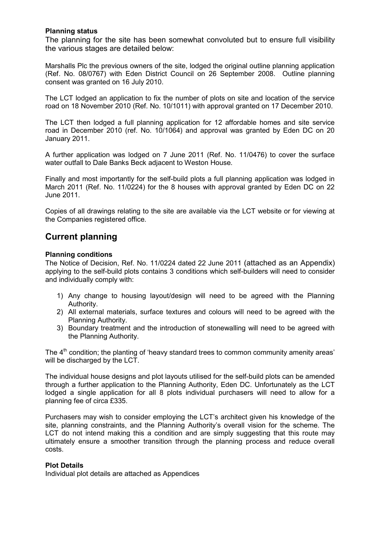### **Planning status**

The planning for the site has been somewhat convoluted but to ensure full visibility the various stages are detailed below:

Marshalls Plc the previous owners of the site, lodged the original outline planning application (Ref. No. 08/0767) with Eden District Council on 26 September 2008. Outline planning consent was granted on 16 July 2010.

The LCT lodged an application to fix the number of plots on site and location of the service road on 18 November 2010 (Ref. No. 10/1011) with approval granted on 17 December 2010.

The LCT then lodged a full planning application for 12 affordable homes and site service road in December 2010 (ref. No. 10/1064) and approval was granted by Eden DC on 20 January 2011.

A further application was lodged on 7 June 2011 (Ref. No. 11/0476) to cover the surface water outfall to Dale Banks Beck adjacent to Weston House.

Finally and most importantly for the self-build plots a full planning application was lodged in March 2011 (Ref. No. 11/0224) for the 8 houses with approval granted by Eden DC on 22 June 2011.

Copies of all drawings relating to the site are available via the LCT website or for viewing at the Companies registered office.

## **Current planning**

### **Planning conditions**

The Notice of Decision, Ref. No. 11/0224 dated 22 June 2011 (attached as an Appendix) applying to the self-build plots contains 3 conditions which self-builders will need to consider and individually comply with:

- 1) Any change to housing layout/design will need to be agreed with the Planning Authority.
- 2) All external materials, surface textures and colours will need to be agreed with the Planning Authority.
- 3) Boundary treatment and the introduction of stonewalling will need to be agreed with the Planning Authority.

The 4<sup>th</sup> condition; the planting of 'heavy standard trees to common community amenity areas' will be discharged by the LCT.

The individual house designs and plot layouts utilised for the self-build plots can be amended through a further application to the Planning Authority, Eden DC. Unfortunately as the LCT lodged a single application for all 8 plots individual purchasers will need to allow for a planning fee of circa £335.

Purchasers may wish to consider employing the LCT's architect given his knowledge of the site, planning constraints, and the Planning Authority's overall vision for the scheme. The LCT do not intend making this a condition and are simply suggesting that this route may ultimately ensure a smoother transition through the planning process and reduce overall costs.

### **Plot Details**

Individual plot details are attached as Appendices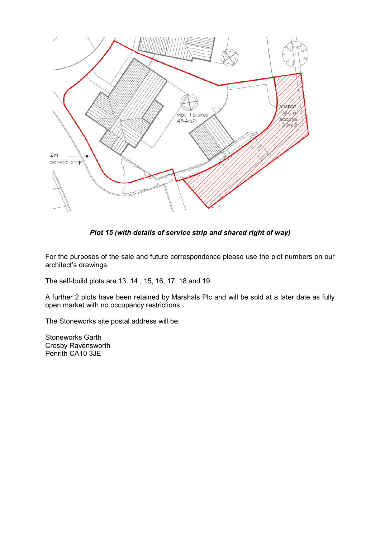

*Plot 15 (with details of service strip and shared right of way)*

For the purposes of the sale and future correspondence please use the plot numbers on our architect's drawings.

The self-build plots are 13, 14 , 15, 16, 17, 18 and 19.

A further 2 plots have been retained by Marshals Plc and will be sold at a later date as fully open market with no occupancy restrictions.

The Stoneworks site postal address will be:

Stoneworks Garth Crosby Ravensworth Penrith CA10 3JE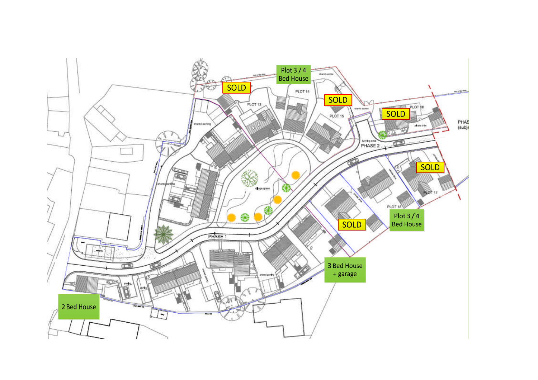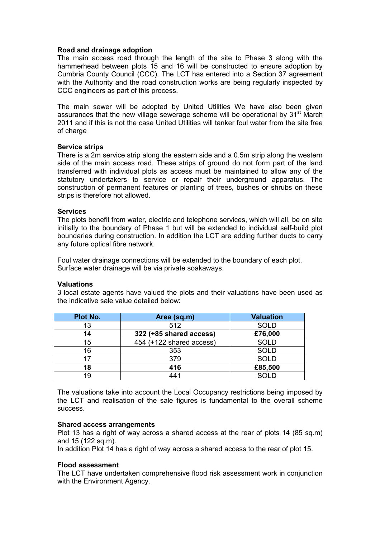#### **Road and drainage adoption**

The main access road through the length of the site to Phase 3 along with the hammerhead between plots 15 and 16 will be constructed to ensure adoption by Cumbria County Council (CCC). The LCT has entered into a Section 37 agreement with the Authority and the road construction works are being regularly inspected by CCC engineers as part of this process.

The main sewer will be adopted by United Utilities We have also been given assurances that the new village sewerage scheme will be operational by  $31<sup>st</sup>$  March 2011 and if this is not the case United Utilities will tanker foul water from the site free of charge

#### **Service strips**

There is a 2m service strip along the eastern side and a 0.5m strip along the western side of the main access road. These strips of ground do not form part of the land transferred with individual plots as access must be maintained to allow any of the statutory undertakers to service or repair their underground apparatus. The construction of permanent features or planting of trees, bushes or shrubs on these strips is therefore not allowed.

#### **Services**

The plots benefit from water, electric and telephone services, which will all, be on site initially to the boundary of Phase 1 but will be extended to individual self-build plot boundaries during construction. In addition the LCT are adding further ducts to carry any future optical fibre network.

Foul water drainage connections will be extended to the boundary of each plot. Surface water drainage will be via private soakaways.

#### **Valuations**

3 local estate agents have valued the plots and their valuations have been used as the indicative sale value detailed below:

| Plot No. | Area (sq.m)              | <b>Valuation</b> |
|----------|--------------------------|------------------|
| 13       | 512                      | <b>SOLD</b>      |
| 14       | 322 (+85 shared access)  | £76,000          |
| 15       | 454 (+122 shared access) | <b>SOLD</b>      |
| 16       | 353                      | <b>SOLD</b>      |
| 17       | 379                      | <b>SOLD</b>      |
| 18       | 416                      | £85,500          |
| 19       | 441                      | SOLD             |

The valuations take into account the Local Occupancy restrictions being imposed by the LCT and realisation of the sale figures is fundamental to the overall scheme success.

#### **Shared access arrangements**

Plot 13 has a right of way across a shared access at the rear of plots 14 (85 sq.m) and 15 (122 sq.m).

In addition Plot 14 has a right of way across a shared access to the rear of plot 15.

#### **Flood assessment**

The LCT have undertaken comprehensive flood risk assessment work in conjunction with the Environment Agency.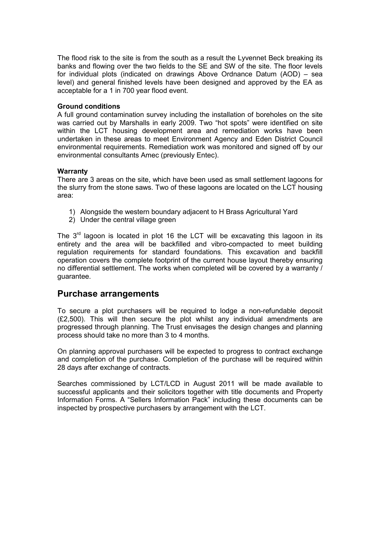The flood risk to the site is from the south as a result the Lyvennet Beck breaking its banks and flowing over the two fields to the SE and SW of the site. The floor levels for individual plots (indicated on drawings Above Ordnance Datum (AOD) – sea level) and general finished levels have been designed and approved by the EA as acceptable for a 1 in 700 year flood event.

#### **Ground conditions**

A full ground contamination survey including the installation of boreholes on the site was carried out by Marshalls in early 2009. Two "hot spots" were identified on site within the LCT housing development area and remediation works have been undertaken in these areas to meet Environment Agency and Eden District Council environmental requirements. Remediation work was monitored and signed off by our environmental consultants Amec (previously Entec).

#### **Warranty**

There are 3 areas on the site, which have been used as small settlement lagoons for the slurry from the stone saws. Two of these lagoons are located on the LCT housing area:

- 1) Alongside the western boundary adjacent to H Brass Agricultural Yard
- 2) Under the central village green

The 3<sup>rd</sup> lagoon is located in plot 16 the LCT will be excavating this lagoon in its entirety and the area will be backfilled and vibro-compacted to meet building regulation requirements for standard foundations. This excavation and backfill operation covers the complete footprint of the current house layout thereby ensuring no differential settlement. The works when completed will be covered by a warranty / guarantee.

## **Purchase arrangements**

To secure a plot purchasers will be required to lodge a non-refundable deposit (£2,500). This will then secure the plot whilst any individual amendments are progressed through planning. The Trust envisages the design changes and planning process should take no more than 3 to 4 months.

On planning approval purchasers will be expected to progress to contract exchange and completion of the purchase. Completion of the purchase will be required within 28 days after exchange of contracts.

Searches commissioned by LCT/LCD in August 2011 will be made available to successful applicants and their solicitors together with title documents and Property Information Forms. A "Sellers Information Pack" including these documents can be inspected by prospective purchasers by arrangement with the LCT.